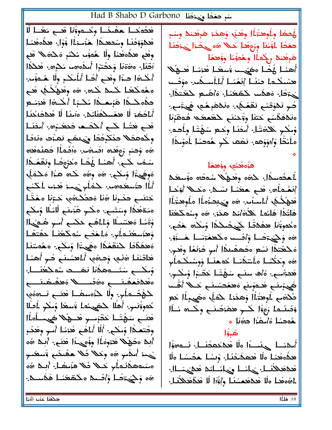هَدَٰهَ ُحَـٰ هَدَمَـٰـٰ وِخَــٰدوِوَٰٓنَا هَــٰ عَعُــٰا لَٰا قَدْمُوْفَقُلْ وِسْتَحْدَدُا ۖ هُزُنَـٰزَلَٰٓا وُوِٓا. حَذَّەخُسُلُ وِقْعِ هَذُهِقُنَا وِلَا هُوَوَٰٮ تَكْتَمِ هَكْمَةٌ هُمْ مَعْ أَصْلَلْ. 500 وَحَصَّتَهُمْ أَحدُه مِنْ مَحْرُوهِ. هَجْدًا أَكْتُوا صَرًّا وِهْمٍ أَصًّا أَلَمْكُمْ وِلًا هُءَوُّبٌ. ەھْەكھُا كىك كە. ۋە وقىھْكْكَى قىم حذُه حَــدًا هَبُــمـدًا سُحَـبَـا أَحْــدُه ا هَــْصَــم ُالْحَمَٰ; لَا همُسكفُنُائِكِ: وَاَسُلْ لَا هُكِحَاجُنُا ۖ هَــِ هَتُــا كَــِ أَحْشَــم شَحَعْــرْ». أَحَفُــا وحُمعضَلًا حثَكْرِحُمْا وَيَحْصُبُ نَعْزَمَ مِنْتَمَرْ هَه وَحَمَٰ رَٰهِقُده آصُدهُ ، هَأَشَمَأَ الْحَمَلُوه مَـٰهُـٰ كُـٰـِ. أُهنُـا لَمُحُـا مَكْوُمِحُـا وِنَقْعُـٰدًا هُوِفَيْ أَرْمَلُحْ. 6ه وِهُه كُلُّهُ هَٰذَا هُكُمُلُو أَلَمَّا حَتَمِيعَةٍ مِنْ مَالِكٍ مِنْ مَالِكٍ مِنْ الْمَالِكِينَ مِنْ الْمَالِكَيْنَ مِنْ الْمَالِك كتئب حنَّــرمُل هُلَا هَحصَّــهُمِ كَـــْرْمَل مَعُنَّــل ەئقغۇا وئىتبى. ەڭبو مُزْنب لَائىلا ۇنكى أَمْرَاءُ مَحْتَىباً وَلَمَاهُم حَكَمٍ أَسِرٍ هُمْ الْمَرْ وَهزَىعفُلُمابٍ. مَاحَصْبِ سُمكْفُلِ حَفَتَهْا هَهفَذَهَا حَنَقْمُمُا مَفْيَـٰٓ;ا وَمَحْمٍ. مَعْمَتْنَا هَٰاتَىۡنَا هُنَّــٰ وۡحَــٰهَٰى ٱلۡعَـُنَـٰفَ حُــٰ اُهۡنَـٰا ۖ وۡكَـــــم مَنۡــــمعمُلَا نَـصَـــت مُمكعُلُـــا. ەقدائىمقىنىسى ەھقىسىلا قەدقىقىنىسى لْحَهُثُــٰءَ مُنْ , وِلَا لِحُزْهِ مِنْصَـاً هَنَــٰعٍ نَــْـِهِهُمِ لَحْمَوِتُرَسِّبِ. أَهْلًا حَكَمِيحَة أَرْسَعْنَا وُحَكِّرٍ عَاصَلًا هَنَّــم مَـهُتْــل حَدَّءِــــو هَـــهُلا هَــمِـــأه ألم وِحۡتِمِـٰٰہٗا وَۡتَـٰٰٓٓٓٓہِ ۚ ٱلۡا ٱٰٓٓٓاٰہُے ۖ مُنۡئَـٰا اُۡسِ وِمَٰنَـٰٓمِ أَبِهِ مَحْهَلًا هَٰتَوَمُمَا وَوَّٰٓى أَلْهُ هَنِّيٍّ: أَبِيهِ هُم يْ مَا أَحْكُمِ 6َ0 وَكَمَلا قَلا هَقَدَتُم وَّسْعَدَمِ ەسَىمھھ ئُمار كىلا ئىلا ھۇيغىل. أَبِي ھُە 06، وَحَيَىٰتِهَــا وَٱصَّــــه مَكْتَفِعَنَــا هَمَّــــهِ.

لْمَعُا وِلْوِهِبْأَا وِهُنِّي وَهِكَ; هَرِهُنَّهُ وِسُرِ حَمَٰطًا عَلَيْهِ وَمَعَ الْمَحْمَلِ مِنْ الْمَوْمَاءِ الْمَحْمَدِ الْمَحْمَدِ هَرِهُمُمْ رِجُْهِ أَا وِهُوَوُمُا وِؤُهِمُا أهمُا هُحُا مِعْهُبٍ وَجَمِعْنَا هُزْسًا هَدْهُمْ الْمُحَمَّلَاتِ ھسَىكْـەL دىُنُـا (ِنُمُنُـا آَلمَلُـىــكُب. ەوَصَّـ لْجَرْحَا. هَعَمَّى كَتْقَعَّدُا. هَ/مُتَمَّ كَعَمَّةُ. صُو لَكَوَّصْبُمْ كَعْمَكُمْ. وَلَكَاهُوهُمْ فِي تَوْسَمِ. وثكافكم لمتثا وتحنف للعمعك فقحزنا وَمِكْمٍ كَلَاهُتْا. أَمَثَلًا وِكُمْ مَئَهُتْا وِلُحِمْ. هِ أَمُثْلُ وَٱلْوَوَّهُمْ. نَبْعُهَا لَكُنْ هُوَهِمَا لِلْمَوْيَجُلُلُ

## فأوقشه وؤهما

أهدُّه سمًّا. كَلُّهُ وقَدْهُلا شُمرُّته هُوَسْعَكُمْ إِنْفُءَاهِ: هَمِ مِعْنُما بَسْيْ. مَحْيَا أَوْجُا هَوْلُكُمْ ٱلْمُسْلَفِ هَ وَيُحِجُّواْ وَالْوِهِتُوَاْلُمْ فَاتُمُا فَائَمَا لَلْأَهُ/مُمْ هَذَ: هَ وِسُمَكْعُلَا ەئدوۋلا ھفكاڭا كېخىككا ؤىكدە خمْب. 06 وَحَيَىٰٓتِوْكَ وَٱصَّــد مَكْعَمَّتِيْكَ هَــزَوْ. هَكْعَتِمْا نَسْعِ هَحُمْعُنِدُا أَبِ حَرْنُهُا وِهْبٍ. هَه وكَتُنْـا مأَـتَـدُّـَـا خُمْعَنُـا وَوِسُـكُـمأَبِ هَٰدرْسَـــي. هُ/َ سَنّـــع سَـٰهُتْــا عَضّـرَا وَسَكْــب. ھُیمَّینَے هُدوْسَهُ هُھَکْسَنَے خَلْلاً أَقَّلُ تَكْتَمِ ـأَوِهتُماْ وَعَذَا ـكَمَا وَهَيْمِمَاْ لَحَمْ وَصَنَّـٰہ ۖ مَ وَوَّا ۖ خُـــرِ حَمَّوَصَنَّــعَ وَحَـــدہ سَــٱل هُوحِسًا وُاْسِعُوُّا حَوْمُلًا ﴾ هُروْا أَحامَــْ الْمَسْــرَا وَالْمَسْلَى الْمَسْلَى الْمَسْلَى الْمَسْلَمِينَ الْمَسْلَمِينَ الْمَسْلَمِينَ هِدُوهُنَا وَلَا قَتِيجُ بِمُنْكِلٍ. وَيَسُلْ هَجُيسًا وَلَا هالشرنهم شالسالرني لمساليز . لمنافضهمة ـارْهُوهُــا ولَّا هُدْهُمْسُـُـا وِإِوّْاا لَا هُدَاهُدْدُنَـا.

هَكْمُلْ حَرَّى أَآتَنَا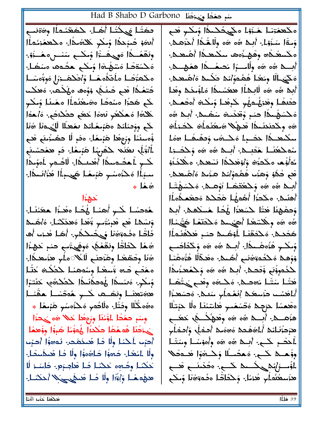Had B Shabo D Garbono سُمْ حَمْحًا مِيْ ذَمَّا

حمَتُـل فَيحَتُـل أَهُـلَ. حمَفَعَنَـمأل وِهَقنَـم أَللَّهُو كَبَرْحَكُمْ وَمَكْنٍ كَلَّاتُوجَاً. وَكَعَمَّرْتُومَاْ ا وِتَعْمَــدًا هَوِيجَــتَزَا وَمِكْــعِ مَنْـــرٍ مِمَــزَوْ. ەَحْسَةَصْلَ ەَسْتُرُوْا وُحْكَمْ بْمَشْقُصْهِ مِنْتَقَالَ: مكعتقها مأتذهها واضكضزول موؤمسا كَتَعُـٰهُا هُـعٍ كَـنُـكِّلِ وَوَّهِ هوَكُـكَـم. هَعَكَــد لَّٰلِ هَدَٰۥ مَنۡوَٰط هَمۡعَنُوۡاً مَعۡنَٰلًا وَۡعَٰرُ ۖ لْمَلَاهُ| هَـمَـٰلَـٰعُـٰوِ لَـٰهَا لَـٰـٰعَـٰہِ حَثَـٰدَاحُـہِ. هُ/ـمَهُ| لَحْمِ وِوَصَائِدَ مَعْبَسُائِدَ بِمَعْلَا لَلْكَحِفَا هَٰذَا ؤُهيئُنَا وِرَٰهِهَٰا هَٰٓبَـٰمَا ِ. هَمَٰٓ لَا حَقَيْنَبَ هَي ـأَٱوَّلُ لَعَنَٰهَ ۖ حَـقَوِينًا ۖ هَزَيْعًا. ۖ فَو هَمَّحَسَّيَّ لْحُــرِ ـأَــعتَّــمــداً أَهْـدــداً. لَاتَّــمرِ ـأَمرِّـداً ا سَبَاًا مَحْزُهسُرِ هَبْسُا هَيْجِاًا هُزُانُـبْدًا.  $\bullet$   $\mathsf{La} \circ$ 

تحهزًا هَ حَسَا كَــرٍ أَهنـًا هُحُـا هَعْـزًا هَعَنْنَـا. وَبَسْمًا هُمْ هُرْتُرُسٍ وُهْلَ هَهَدَتْكَتَا. هَاهُتَمَا مَاتْـا ەئـەزەْلَا ڧىكىـىدۇم. أَھَـا ھُـزى أَھ هُمُا حَدَاخًا وِنَعْمُكَ هُوِفَيْتَ حَنْ كَهْـٰزَا هُنُا وِحْقَعْـا وِمُنْحَبٍّ لَلكْلَـٰهِ مِنَعْـمَا. ممَّنْبِ ثَـٰدَه وَّسِعْدا مِنُوهِنُـا لِكَثَلَٰثَةِ بُنَتُـا وَمِـكْدٍ. ەَىـُـىـدًا لْمُحَدُّنَـدًا لَـكَـكَـدُّەم كَنَّـتْـزا هؤتعثا ونفد لحب هُوصْها هقُنا ەھُەڭْلَا وِصَّاْ. ەلَّاھُەر مُحْزُەسُر ھَرُىھَا ۞ . وَسَمَّ حَمَّجًا الْوَّسُّا وَوَوِهُا كَلا 60 كَحَدًّا . حَجَدُنَا هُمَمُمًا حَكَدُا هُوَٰئًا هُرِوَٰا وِوَٰهَمَا أَحرَى لِمَكْمَلِ وِلَا حُلِّ هُدَخَمَتٍ. نُـ90وَٰا أَحرَى وِلًا لِمُعُلِّ. حَمَوْا حَاهُووُا وِلًا صَلَّ هَدَكَ سَفَا. تَكْتُـا وِحْـوِهِ تَكْتُـا حُـا هَامِـرَو. حَاسَـٰ; لَا هِجَمِعْهَا وَإِوَّا وِلَا صُلَّ هُمِجُهِيَ ۖ أَحْكَمَا.

ەڭھمَّتْل مَـزَوْل ەڭپچىلىدا ۋىكىر ھى وَمِنْهُمْ سَنُوْلَىٰ أَبِيهِ هُو هُوَ وَلَاهُكُمْ أَحْزَهِهِ. ەڭسۈڭە وقھ-ئەھ سكىعىدا أَصُعى. أُبِـــدُ هُه هُه وِلَمْــــرُا مُحـمــدُا همَنْـــد. هَ تَجْهَالًا وِعَعُدا هُمُّوَوُٰكُمْ ضَكُـمْ هَٰاصَّـعِـمْ. أَبِهِ هُو هُو لَابِهِـلَٰا هِجَنُـبِـهَٰا وَلَوْجَـٰهِ وِهُـا حفَفَا وِهَزَهُ عَهُرٍ كَرِهُا وَمِكْنَهَ أَهْضَهُ. هَكْتُهُـبِدًا هَنْـم وْقَدْسَــة يَنْصُبِكْ: أَلِــط هُه هَه وِكْدِنُدْسُمَٰا هُــٰهَلا هَـٰعُنُـه اُهْ ـٰهَـٰـٰٓءِ اُهْ سكىعىدا حصَّىء مَكْسُم وَصَفَصًا همَا مُعطَعُنُــا هَمْبِـــمْ. أَبِـــمْ هُء هُء وَحْكَـــزا شَاَّأُوُها مكْتُرَة وَٱوْهَٰكِكَا تَسْعِكْ: مَكْكُرُوْ هُم حُكُوْ وَهِنَا هُهُموُٱنُهُ هِنَاهُ ٱهْتَعَهُ. أُبِـِي هُو هُو مُحْجُدُهُـا أَوْعِـي. هَـحْمَـهُتْـا أَهلَىها. مكْحُرًا أُهْمِهُا هَصْكُمْ هَحْعُجُمْهَا) وَحِمْهِنَا هَتُا ۖ حَسَعَۃًا ۖ هُمَا ۖ هَسَكَعِهَ. أَبِـمَ المرثو لمتكه مسرهأ لمشكل وه وه هَحُدA. هَحْخَقْنَا ـأَوْهُــدا حَـُـمِ هَحْفُنُـهِـأَا وۡلَكُــٰڔٖ فُنُوهُــٰـٰهُا. أَلِــٰهُ ۞ه ۞ه وۡكُدَّاحُــــع وَوَهِهِ مَحْشُووَهُنِّي أَصَّـهِ. وهَجَّالًا هُزُّوهُمْ ا لْخُدُوفُفِّ فُصْحًا. أَبِيا هُو هُو فِحْمُعْنُوْهُا هَتُمْ سَتْمَا مَعْكُمْ. وَصَدَمَتْ التَّمَا صَحْفَ ٱلمَّسْتَ جَزْيَتِكُمْ إِنْهُءَلَٰنِ سُلْمٌ. وَجَسَّعَدُوْا ەقىمئىل خۆچى ەقئىمىپ قىلىتىنىل ەللى خېتللا هَوْهِــــــمْ. أَبِـــــمْ شَه شَه وِهْدْهَنْــــمَٰى حَمَقَـــمِ هَمْحَزُنُـائَــْ( )ْـاهُڪَــْـدا هُ10هَــْ ) فَصَـهُـلُ وَ)صَــُلْب لَمَحْدِ كَبِ. أَبِــدُ هُو هُو وَأُوفِسُـلَ وِمَتْلَـلَ وِؤُهِــدْ كُنبِ: هُـمُصَــلًا وَكَـــْهُوْا هَــُـفَكَلَا لمَؤْسِمُ}ہُکے کہا گے۔ ہوگئیے ہے ھزَىىعُلُمَار ھُزىُل. وَكَمَاطًا ەضَەرْھُلا وَىكَى

مَحْدُمُا حَرَّء أَأَامًا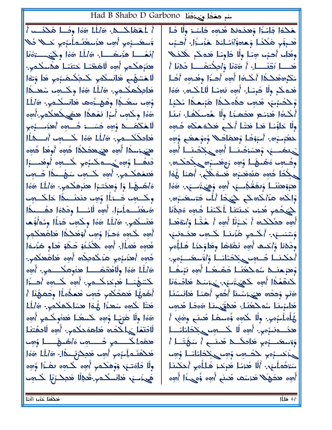وَّسْعَكْتُرُومٍ أَرْضِ هَزَسْعَلْتُمْلُّدُومٍ كَتَبَلَّلُّ قَلَّا هنِّهكم إهه للهَعْنا حَتنَا همْسكم، لَاهَتَنفَى هَانْسَكُمْ كَنْجَكْتِصَبُّومِ هَا وَتَوَا وَّوِمَا سَعْبُوا وِقَوْمَ وَهُمْ هَالْسَكْتُمِ. 1.4% هَهُمْ وِكْتِفٍ أَمْرًا تَمْعَدًا مِنْهَىكُعِنُدُهِ ۖ أَبَوهِ هَامِنْكُــــمِ. 146 أَمُهُمْ الكَــــومِ أَسْـــمْلَمْ ا مَهَنْ اللَّهُ إِلَى مَنْ مَعْكُمُ الْمُحِمَّرَ أُوهُا هُوَهِ قَنفُط وُوهِ فَكَمَرُهُمْ كُلُّوهِ أُوهُنَـــزَا هُتمُعَكُــمِر. أَبْعِهِ كَــبِهِبْ شَهْـَــبِهَا كَــبِهِبْ هُ/هُمضُـلُ وَإِ وَهِكَتــرَا هِنَرِهِكُـمي. هُ/أَـلُّـا هُهُ| وكبوب صُـزمَا وَوِب منَدَسُــدَا خَلَــُبوب هُعِعْنَــــمِلَّـــزا، أُهِهِ لَانُـــــا وِحْمْهَا حَفَــــمِمَّا هَنْسَكُم, ﴿ كَالْمَا اللَّهُ ۚ وَكُلِّصٍ خَهَٰلًا وِشَهْٰذُهِ ۖ أُهِهِ كُلْهِهِ وَحَدًا وَهِبَ أَوْهَدَهُا هَاهُعَدُومِ هُدوه هُداً!. أُروه للأُخارُو صَـٰاوُ هَـٰاو هَٰٓزُمـٰهَا َدُوهِ أَهزَٰنَوْهِ مِزْكُومِكُو أُوهِ هُاهْعَكُوبِ. هَٰٱلْمَاهُ وَلَاهُتَّعْسَسَا هِنُوهِكْسَــوِر. أُبْعِهِ كَتْنَهُنْكُلْ هُرِجُدْكُمْهُرْ. أُنْهُمْ كُلْهُمْ أَصْرًا أَهُم} هُدَهُكُم دُومٍ هُدَاهُ إِدْهَمُوَ أَمَّ هَٰتَا خَلَقِهِ سَعِدُا هُـهُ| هِسَاخَعِكُم بِ. 110\$ هَهُمْ وِلَّا هَٰتِهْمَا وُهِهِ كَسِعْدَا هَٰدَاوِكُـدِ أَهِهِ لَامْتِمْلَ كِلْكَحْمِ هَاهِمَدْكُمْ. أُمِهِ لَاحِفَتِنْلَ همَما كُـــــــم، حَـــــــمِ، هَاهُــمُـــــــا وَمِــ هَٰلاَعُنُـه أُمرُهم أُهِم هَٰدِلامُ بَـٰها). هَا مَا الله عَاه ولَا فَاوَتَّىٰ وَوَقَلَـٰهُمْ أُهُوهُ لَّـٰـٰهِهِ نَقْـٰٓرًا وُهُوهِ فَيْ نِّبِ هَالْسَكْـمْ. قَدْمِلْا هُدِكْـمْ لَا كَــْهِبْ

هَكُهُ| فَاسُزًا وَهَدَعَهُمْ هُدِهِهِ خَاسَۃٍ وِلَا ضَا أَهْتُومُ الْمَحْكَلِ وَبِعْدَوْ}أَسْلَمْطْ الْمُؤْتَوَارْ. أَصَوَّت وهُام أُحبَّ وِمْا وِلَّا خَاوِمْا هُـٰهَـٰكُمْ لَمُكْـَـٰهُ ۖ هُــــا ٱحْنُــــا. أَ هَٰٓةَلا وَٱحِكْتَهْــــا حْمَلا أَ مَكْرُهِ هَكِـدًا أَكْـدَهَا أَهِهِ أَحــزًا وِهُــهِهِ أَحُـل هُدهكُمْ وِلَا حُرْسًا. أُبِهِه نَهْسًا لَلْلَمْلُدِهِ. هَٰهَا وَحْضُرُبَىٰ هُدِهِ حَذُّهِ حَذُا هُرُسَمَاْ نُحْرَبُهُ أَكْتُوا هَٰزَعُمِ هَجُعَجًا وِلًا هُوَسَكُفًا. آمِنًا وِلًا حَاؤَسًا هَا هَتَا أَحْبَ هَكَمَهُو حُبْوِهِ َحَعُبُــرُه. أَعْوَدُا وَهَمَاتُــلا وُهُوَعَعْمَ وُهِهِ وها النفكروها النفخنه ومنسفين وصُّوما ەَھُىمْلَ وُوە مُوھَىــوْھى بِكَــْلــە. حِذَكَمَا دُوهِ هِنُوهُدْمٍ هَدَهُ هُلَكُمْ. أَهْدًا لَهُءُا ﴾ هزوهشا وَبِعَعُكَفٍ أَبْوِهِ وَهِيَ تَصِيرٌ. هَاهُ وْالْحُرْهِ هَزَالْحُرْمَكُمْ لَكَهُمْ أَلْمَا خَرْسِعَيْتِرْهِ. لْكَهْجُمْ هُذِبَ كَيْتَتَبَا لِمُكْتَبَا خُبْرَهِ وَدِمَٰنَا ۖ أَهِهِ حَثَلَاتُهِ أَ يُدِتْلُ أُهِهِ أَ هُنْدًا وَاعْقَعْدًا ۆتتتىنى: آڭىم ھُزْنئا كىچە ھكىمتى ودْهْنَا وَٱخْدَى أَوَهِ نُعْقَهْا وِهَاوَجْنَا هُالْمُومِ أحكمنا فسيحكش والمستحكم مناسبة والمستحمل وَهَبَعْنَــمْ شَهْكَعُنُــا خَصَّـعُــا أَهِهِ تَبْـفُــا لَاتَعْمَٰدًا أَوَهِ لَكُمْيَتَنِبِيْنِ وَمِنْكُمْ هَاشَمْهَ هَٰلَى وَحِثْتِهِ هَيُ زَسَّىنَا أَثْثَمِ أَهْسًا هَالَسْنُا، هَاجْتُا شَمَكَعُنُا. هَدْقُ جِسًا هَمَضًا هُدِهِ لْمَاْمَأْمِيْنِ وِلَا لَكُلُوهِ وُمِنْتُمَا هُنْتُمْ وَهُوَىٰ أَ هذَــوَسَوَوِي. أَوْهِ لَا كَـــومِنْ حَمِيْدَ اللَّهُ مِنْ مَعْ اللَّهِ مِنْ مَعْنَدَ مِنْ مَعْنَدَ وَوَسِعَيْـــرُومِ هَامِكْـــدْ هُبِيَّـــمْ أَ سَوْتَـْـا أَ حجتم أسالمكر حجم وتحصيهم بمنهن مَٰتِرَّدَهُ لَيْمٍ. ۚ ٱللصَّحْنَاتِ هَٰذِكُمْ وَاللَّهِ ۖ ٱلْحَكْمَالِ أَهِهِ مِحْمَلًا مَنْ مَمْ مَنْ أَهُمْ فَي أَلْمَاهُ وَمِنْ الْمُهَامَ

مَحْفُلًا حَبَّى ٱلْأَمَّا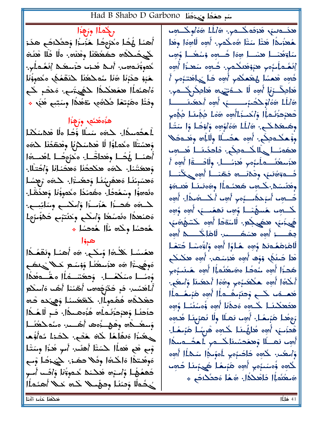Had B Shabo D Garbono سُمْ حَمْحُل فِي جَمْعَنْ الْفَرْقَةِ بِيَ بِيَجْمِعْ الْفَائِقَةِ بِيَ بِيَ ا

وجْعال ورَجِزَا أهنا هُحُا مُدْوَحُا هَنَّـٰزَا وَحثَدْاحُـ هَذَـٰ لْكَيْحَىكُمُ دَعَعَمُتَمْلَ وِقْدُهِ. وَلَا ضُلَا قَدَمَتْهُ لَحْقُوقُلُــةِ مِنْ أَسْـــمْ هُـــوْتَ حَوْسَــمَكْــمْ إِنْـهُــفِـلُـمْ. هُبَوْ حَذَرُنَا هَٰلًا سُمَحْعَنَا حَنَقَمُكَهِ مَحْمَوْنُا هُ/هِنَه أَا هِمَعِنُكُمُ الْكَفِيخَ مِنْ هُجْمَعٍ لَكُمْ وِضَاْ وَهُبْتَمَا شَلْأُوهِ عَاهُدًا وِسُبْبِي هُنِّي \*

## هزُهفَتُم ورَجْزًا

أَهدُه بِدُا. كِنَى مَبْلًا فَكُلّ وَلَّا وَلَّا هُجَامَكْنَا. وَهِمَتِلًا مَحْمَلُوْا لَا هَهُمَكُمْ إِلَّا وَهُهَمَّنَا كَلَمُه أُهسُا لِمُصَا وِهَٰداتَـا. • مُدْوَهُــا لِمَعْـــهُ| وَهِعَتَنْدَا. ۖ لِاهُم هِكُحِجَدًا هُهِجَنَانًا وَٱجَتَلَا. ەَھنىئىلا ەھھُرېنىل ۆھھىتزا. كىھە زېنىل ەئەھۇا وِسْعُەطُ). ەھُەمُدُا ەڭدەرۇُلا وَھْدُشَّا. لكَّمَهِ هَجَــٰٓزَا هَٰٓزَبَـٰٓزَا وَٱِيكَنَــِحِ وِيَنَائِيَــِحِ. هَهنُعجَا وَتَمَنَّعُا وَٱسْكُمْ وِكَنَّتَهُمْ خَلَاؤُمْوَهَا هُوصُل وِكْلِهِ عُلْل هُوصُل ﴾

حرؤا همُسُل للأَمُا وُسَكَى. هُء أُهسُل وِنَقْعُـدًا مَوضَى أَسْتَمَرَ مِنْ مَنْ أَيْنِ مِنْ أَيْنِ مِنْ أَيْنِ مِنْ أَيْنَ مِنْ وُوسُــا ومَنْكَمُــا. وَحِعَنَـــفَاْلِ وَهُـــوَعُدًا ِّمْلَاهُنَىں. ضَرِ حُتْہُجُووما ہُٰتَمْنَا اُھُما ہُاسکوں اُسلام کی اُ حعْكِمُ هَمُمومُ). كَعْعَسْنَا وَهِيَدِهِ مَهِ حَاجَبًا وَهُوَجَزْنُـمِلَّاهِ فَزَّهِصَــهَٰا. ضَرِ لَاحُـــهَٰا وَسعُــدُه وقيمــزُه أصّــب منُمكعُنُــل حِمَّىٰٓا ەَىقَاھَا خَانْ ھَئَے. حَكَمَاهُ شَەُرُّوَٰٓھ وْبِ هُجِ هَٰمَاً! حَسَّتَا أَهنَـٰ. أَسِ هُذَا وِسَتَا هُوِهُتِمَا وَاحْدُهُ! وِثَلا حَصَٰ; ۖ حَيْءَهُـا وَبِ كَعَمُهُا وَٱسْرَهَ هَٰكَـٰدًا تُـٰدَوِيَّاْلَا وَٱصَّـٰ ٱسو يُحْتَلًا وَمَنْنَا وِحَهَّىكَ كَنْتَهَ كَلَّهُ أَتَمَنُّكُمْ

ھكــوىــي ھُـزِدَھكـــو. «كَاـُـلَـا «كَاوكـــرەت هُعِزُماً هَٰتًا مَتْلَ هُءِكُورٍ. أَهِهِ لَاهِهُ وَهَا سَاوَهُنَا هَنَا هِمَا كُلْهِهِ وَسُعُا وُهِمَا ِٱلْغُـٰءِلَمِـٰٓءَمِہٖ مَـٰٓہٰٓوَهُنگـٰدمٖ؞ٖ شُـُدِّہٖ صَدْءُا ﴾ُوہ دُّوِهِ هُمِسُا لِمُعْمَلَاتٍ أُوهِ حَاجَلِهَا مَعِنَّوْهِ لَ هَامِذَــُهُا أُهِه لَا حــهُتهِه هَامِكُم جُـــمَب. هَامُا وَالْمَاهُمْ وَحَدَّمَ مِنْ مِنْ اللَّهِ مِنْ الْمَعْدَدُ الْمَسْتَدَارَ كَعْبُرْتُـم}ا وَ\كَــزَاأُرْهِه هَٰهَا تُكِلِّبَـا تُكِلُّمَا مُ وهُعْمَدْكَـــمْ. 110ْمُ أُوْجِعْ وَاوْصًا وَاسْتُــا ووْهكْــەدېكَــى: أَاهِه لِعَصْــاْلِ وِلَلَـاْهِ وِهَــوَهَــلا مەنىلى ئىكىمەن ئىكىمىنىڭ بىر بىلىش ئىكىمەن ئىكىمەن ئىكىمەن ئىكىمەن ئىكىمەن ئىكىمەن ئىكىمەن ئىكىمەن ئىكىمەن ئى هزَمهُنَـــه أُمرُهم هُزْئــــا. وِلَاتَــــةَا أَهِهِ أَ فُــوَوَوَنَــَىٰ وِثَــانَـــوہ ضَـقَـنَـــا أُرْوَى كِنْنَــا وهَنَسَمْ. كُلوب هُعنُـو]ُ وهَوَنَسَا هَندوَهُ صَّحِبُ أَسْتِحَذَّسُوْمٍ أَحِبَ أَخْسَعُنَا. أَحِهِ كَـــَرْمِتْ هُنْتَهُنْـَــا وُرْمِتْ تَعْمَّنْــــيْ أَرْمِهِ وُرُوهِ فَيْ مَنْ الْمَتَصَابِ مِنْ الْمَوْمَاءِ مِنْ الْمَسْلَمِينَ مِنْ الْمَسْلَمِينَ مِنْ الْمَسْلَمِينَ بِهَـــــز أُبوه هنَيعُـــــبِ لَاهَاتَكْـــــــــمْ أُبوه لْلْمَرْهَمُـٰهَـٰدًا وُهِم ـِمَـٰاوُا أُهِم وَاقُوسْـا حُتمْـا هَا صَنُكَهِ وَوَٰڡَ أُرْمِهِ هُـْمَـٰعَـٰ: أُرْمِهِ هَـٰكَـٰكُــعِ هُدَاْ أُبِهِ مُوَدًا وَهُبَعُلُولًا أُبِهِ هُبَنَبَوْمِ أَكْتُوا أَتِهِمْ حَكْفَكُومٍ وَتَوْوَا أَحْقَدَنَا وَٱحْقَى. هُمْــدًا لَكُنْــمْ وَحَبَّــدَّا أَرْدِهِ هَٰـُمْــدَاْ ا هكَعِنْدَسًا لَحْسُوهِ وَحَذَٰلًا أُرْمِهِ وُوسُنُسًا وُرُوهِ مَوهُما هَبُسُما. أَهِبَ تَعِبُلَا وِلَا تُعَهِّينَا هُدِهِهِ هْدَٰنِي أَرْهِهِ هُلِهُنَا كُلْهِهِ هُرِبُنَا هَٰزَىٰهَا. أَهِبَ تَعَسَلًا وَهُمُحَسَّنَاتُكُسُورِ الْمُخْسَمِينَا وَٱلْعَكَبِ: خُلْجُهِ ذَاخَبُوْهِمْ لِمُوْجَعُ الْمُتَحَلَّلَ أَهُوهِ لَّكُوهِ وَّەسُبُومٍ أَوهِ هَزْمَهُا هُيَّزِمَنَا هُومَا هَ حَثَمَا أَ أَهْلَاهُمْ الْمَعْلَمَ وَحَثَلَاهُمْ \*

مَحْدُمًا حَبَّى ٱلْأَمَّا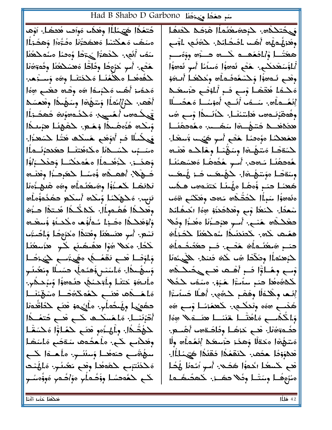Had B Shabo D Garbono سُم حمَحًا وَيَحْمَدُ اللَّهُ بِيَنْ الْفَلَامِينِينَ بِهِ

حَتمُمُّا هَيْهُمُا وهُدَمُّ مَورَّص هُدهُما. آوْه مَنْصًا مَمَكْتَسْا مَعْصَدَتْنَا مَخُوْرًا وَهَجَزَاً سُمًا أَلْهِ: حَدْهَا ۖ يَ تَصْرُ ابْتَعَكُمْ : وَلَا مَنْهَ حَمْدًا هَصْ. أُس هُوَهُا وِقَاقًا هَعْمُـٰلِعُمُا وِقَـٰوَوَهُ الْمَـٰ لحَفُوهُم مَاللَّمُنُما مَكْنَتْمَا وِهُو وَسَـٰزَهَ. هَٰدُمَۃ أُهُــٰ هَٰـٰٓئُہَـٰهُ| هُه وِحْـُه صَعْبے هِهُ| أَعْعَبْ حَرَّٰ}}نُعاً! وَسَوَّٰهَ! وِسَوَّٰهَا! وِهُعِسَٰمًا قَالَ مَعْمَى ﴾ [السَّمراء: 14 مئة مُحدَّثة أَسْمَدُ مِنْ السَّمَرَ وَعْدَه فُنُوهُعُدًا وَهُـُع. كَـهَـهُـُـا هرَّمـُـدًا فَيَحْسَلًا ضَرَ ٱرْوَهُم هَسَكُمْ هَتُنَا حَسَمَةً). مَسْبًى كَسَّـدْنَا مَكَاهَتِتْـا حَعَدَدُرْنَــهِــاًا وَهِخَـــز. ۖ حُزُهُـــه أَل معُه حَكْسًــا وَحِذْكـــزُ أَوَّل صَّهْلا: أَهْمَــدُه وُّهسُــل كَعَرِصَرَٰا وِهْنَــهِ لَمْتَصَا لَكُمْ زُوًّا وِرَهُ بِعُنُـمَارَه وَرَهُه هُدِئُ وَنُوْ ئَمَءٍ. ەَحْكَكْمَا وَمِنْدَه أَسْكُمْ حَقُدُوْهِ أَهْ وِهْكِـدًا هُمَّــدوِـدًا. كَـدَخُــدًا هَــتذَا حــزُهَ وَٱوۡقَلَّــٰٰھُا ۚ مَصۡـٰٓہٗ ۖ مَـٰہُ ۖ مَعۡلَمُ ۖ مَـٰلَّـٰہُ ۖ وَٰٓ مَـٰقَـٰتِہِ ۖ نَسْعِ. أَسِ هنّسعُنُا وِهُتمْا مَحْوَجِعًا وَٰاحَـٰـٰٓتِ ۖ لْكُتُلْ. مَكَلًا هُوْا هَقْتَهُنَّعْ لَكُنَّ هَزَيْتَهُمْا وَسَهَّىدًا: مَاسَنَـم وَٰهئـم) حسَـىلًا وِمَعَنفـُـر ەلمىغۇ كتقا ولمۇنىڭ ھئەھۋا ۋىزىكىر. مَاهَــدُه هَنَـــم حَدَّمَتَــدُهُ ـــــــــا مَنْهَنْنَـــا لَتَمَعُنُهِمْ وَالْمَسْرَاءِ وَالْمَسْرَاءِ مِنْهَا مِنْ مَشْمَرِ أَصْرُبُسَــا. مَا هَسكــد كَـــح هَـــح حَتمُـــدًا حَجَّقُـدًا. وِلْمَـزُوو قُنِّع حَمَّاوًّا مَحْمَقْـا وهَٰذَائِ کَے. مِلْعَدُومِ سَوْدُنِي مَلْسَٰعَا ۖ سَهُقَٰنِے حَمَقُنَا وَسَنُنُـبٌ: مَأَهَــٰهَا كُنَّے ەَحْنَتْبَى حْمَٰەھُدَا وِهْم مَعْسُر. مَالْمُصْ َكَــِ كَـفَـّْحَسُّـا وِؤُشَّـٰٰهِ دَوۡاصَّـٰهِ دَوۡوَٰٰٓہَـٰـٰـِ

فَيحْتَكَمُهِ. كَرَحَهُ حَفْدًا هُرْحَكَ حَدْفُط وِهَٰزِهُـٰءِهُمْ أَهُــٰ احْـُـٰـَائَـٰا. ـٰذَهُنَـٰهِ الْوَْــِ ٱلمُؤَمَّعُكِكُمْ. هَنَّى نُوهِؤُا وَسَأْمًا أَمِن نُوهِؤُا ۖ وهُم نُـهِووُا وَحَسْمُه ضُـهِٱرْهِ وِحُحْفُـا أَسْوَوْ مَحْـمَا هُقْشَـا وَبِي ضَعِ ٱلمَوْضَى حَزْبِيهَــمَ إِنْفُــداْھ. مَــدُما أَنَــعِ أُدَوْمُـــا دَـعَـَـــلَا وِفَعقَہُنّـــدہ مَحْلِتَـنُنَــلَ: حَـٰأَنُـــمَاْ وَــــِ شَــ ھمُعكنًا ەؤەمنًا مَمْع أَسِرٍ هَيُب وَسَعْدًا. لحنقضا متلهفاه ولنقشا وهالحم هشم هُوحفُنُـا سُـ90. أُسـرٍ هُثُوعُـا وَهنَـعنُنُـا وِمَةَصْلَ دَوِّسْتُوُّے، لِمُنْكُمِّسَا ضَعْ لِمُنْعَمَّسَا هَعْنَا حَنَّمٍ وُْهِمًا هِهُنَا كَتَنَفُّهَا هَـكَمَنَا دَنُّووُا سُبِئًا ۖ حَدُثُمُوا سُود وِهُكُنُّ وَهُمَا سْمِعُلْ: لِمُنَعُلُ وَبِي وِقَدْهُمَنْوَ وَهُلَ الْمَنْقُلَةُ حَقَدَهُ۞ هَنّبَ: أَسر هزَدَٰ;َلا هَقَدَٰ;ا وِثَلا همُنعا لَاهِ. كَدَنَدْنُنْهُ أَسْمَاحْتُنَا لِلْحَيْلُةِ حنّــم هَــمُـلّــماُهَ ــمَــّـــم. ضَــم حمَّصُــمَــماُهَ لِمَ اللَّهُ مِنْ اللَّهُ مِنْ اللَّهُ مُسَمًّا اللَّهُ مُشَاءً مِنْ اللَّهُ مِنْ اللَّهُ مِنْ وْبِ وِهَـاوَٓا صَـٰٓ أَقْـٰهِ هَـٰٓ وَحَـٰكِـدُهِ كَٰٰهُۥُوهُا صَـٰرٍ سأَنـَٰٓرَا ۖ هَـُزِوْ. وَسَـٰفَ كَـٰفُـلا إِنِّم وِلْكُمُلًا وِهُمْمٍ لِحَمَّوِي. أَهِلًا ضَدِّيتًا هُنْسِم 500 وِلْعُلْــمِ. ݣَـعْعُزْسًا وْسِم 50 وَالْحُدَّىــــع مَاهُتْــا هَنَـــا هنَــــهَــلا هِمَا حثَــدوّهُ،ل. هَـــع حُـزهُـــا وِصَّاصُــةهـــه أَهُـــــم. مُتَجُوَّا مَحْقَلًا وَهِدَ حَبْسِعُكَ إِنْعُـٰءاُهِ وِلَٰا هَدْوَوْمًا هَحَم. حْنَعْمُدًا مَقْنُدًا هَيْسُلْدًا. هُم كَسِعًا ائْدَوْا هَدَىٰ: أَبِ ٱتَّوَلَّا لَمُدًا هُنُوهُا وِمَتْلًا وِئُمْ حَهُــز. كَعَصَّمُــهِا

هَكْفُلُ حَرَّى ٱلْأَمَّا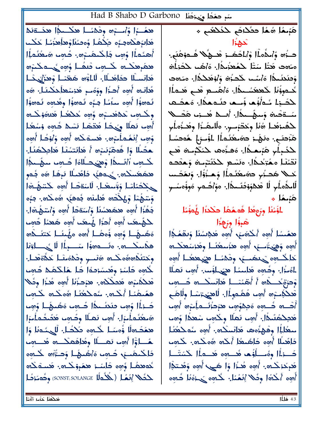همُسْرًا وُٱسْرَه وَحْمُسًا هَكْسِجًا هَخَسَةَنَهَا هَالرَهكُمْمِرُه مَكْمًا وُءَمِنُاوُهاَهزُنَا كَكُت أَهْنُماْ وُوم مَاكْتْمَتْرُه. حُوتْ وَيْمَنّْهَا مغرمنده كلوم فبفا ؤوه كمختره هَالْسِلًا حَفَاهَـلًا. لَلْلَوْهِ هَعْنَـلٍ وَهَزَٰلِيَـدُـل هَٰالَــهِ أُهِهِ أَحـٰزًا وِوَّەۡــمِ هَٰـْنِــُـمَالِـحَكَــنَـالِ. هَه لَــٰـٰۃوہُ﴾ اُبْحِہ سائلہ کِــُم لَـٰـٰۃوہُ﴾ وِهُـٰـٰۃِہٖ لَـٰہۖوہ لَـٰہِۃوہُ﴾ وكبوب تكافسوه ؤوه تحكفا فتتفوكن أَهِبَ نَعَلًا مِنْكُمْ هُدَّهَا نَسْمٌ شَهِهِ وَسُعُدًا وَّهِ ۚ إِنْعُـٰٓءَأَـٰـٰٓءٍ ۚ ۚ مَٰنِـنَّـٰكُلَّهَ ۚ أَهِهِ وَٱوۡحُـٰٓ أَهِهِ َ مَحَىلًا وَإِ هُوهَرُبُمْ‰ ) هَالَتِسُلَّا هَادِكِهُنَا. لَّكْتُومَا ٱلْمُتَنَاهُمُ وَهِيَجْتَنَاهُ | كَتَوْمَا سَتَهْتَنَاهُمُ | هِهَمَسْلَاهِ : يُحْمِيَ ذَاهَبِهُا لَبِقَا هَهِ فَيَهِ حِكْدُاسًا وَوَّسعْداً. لَاسْتَقْدَا أَهِمْ كَتَنْهُدْوَا وَسَّهُمْا وَلِكْتُوه هَاءِلُوه جُوهَدٍ هُوكُلُو . مِزْهِ بَحُوُرًا أُبِهِم هِجَمِيْسُلُ وَٱسْتَحْلَلْ أُبِهِم وَٱسْتَرَاحُواً. لِحَهَٰىعَكِ أُمِهِ أَحِزَا هُبِعَكِ أُمِهِ هَعِيْاً جُمِي دَهُـدهُـــا وُرَدِه وَدَهُـــا أَرْدَه دهُـنـُــا حَتنُـــدْ(ه فَمَسْكُلُونَ وَيُنْسَوْهُمْ مُنْصِرِمًا لَلْهُ صَلَّاقِهَا وكتلُمُه، مَكْسِهِ مَانْسِرِ وِعْدَهُ سْلَمْ حَدَّة هَــا. لَاهِهِ خَاسَةٍ وِهُسَنَّوْهُ إِحَا هَالْمُحْمَدِ حُهِب هَكُلُّمْوَه هُدَكَّكُهُ. هرَجزُنَا أُهِه هُذَا وِثَلا فَمَنْظُمْ أَنْكُرُهُ: شُمْلَحْفُنُا رُوُونَكُمْ كُلُومَا كَـٰٓزَٰٰٰٓٓا وُهِـٰ تِنۡدَنُـٰٓـٰٰٓهُا كَـٰهِـٰ هَٰعُنُّـِـٰٓا وُهِـٰ هَٰىعُنُمَاٰئِمَا. أَهِبَ نَصَلًا وِحُبِّ هَٰذُمَّمَاٰئِمَا همَكُدهاً وُوسَا كُلْمِهِ صَحْكًا. لْلحِسَّوَا وَا هُــاوًّا أَهِــْ نَعَـــلًا وِهُـاهُـعَــْـــهِ هُــــهِـّ فالكلفيخ فبوب ةاهبها وصراه لكبوه ئەھكىا ۋەە كائىل ھەرۈڭلە. ھىلىۋىگە لْحُمْلا (ِلْعُمَار ( Angr. solange ) وحُمَـٰزِمُـا

هَٰٓۥۡهُمُ اهُهُا حَثَدَاضَ حَذُدْهُبِ \* تحمزا حَـزُه وُٱعْلَمَاْ وُٱلصَّـز هُــوْلًا فَــوْهُلَى. ەئەد ھَتُل مَتْل حَمُعزُماً). ەُاھُم حَدَرَانُو وَمِنۡدَاسُدًا ۚ ہُٰاسَّے ۖ خَدۡرَٰہٗ ۚ وَۡاٰوۡھَٰدَھَٰا ۖ ہِ مَـٰہِ ص تُدوووُلَا كَعِعْنَسِيمًا. وَأَصَّـع قَبِ هَدِمَاًا لْكَصَرْةَ شَوْأُؤُهَا وُّسَعَا فِشُوْهِكُمْ). وَعَصَّفْ سُــةكَــة وَسَـهُــــداً! ۚ أَنــــــدْ هُـــــدْ\ لحَفَىٰ;هُــا هُلَا وِكَتَّبَـــرٍ. هأَلمعُــزُا وِهُــزُه أَم لْخَدْبِلُمْ هُبُعْدًا. هُصَنُّوها لِحُنَكِّرْسَةَ هُلِ تَتَمُلًا مَمُتِكُمُّاً. مَنْسُعِ كَكَنَتْرَسِينَ وَحَقْصَه كَنْكَلّْ هُجَـزُنٍ جَمَّتُهُما الْمُ وَلَعَـزُوًّا. وَيَقَضَّبَ لَّاحِدَٰہ لَّا هَٰٰٓدَہُوۡوَحُنَــٰہِؕا ۖ: ہوۡاۡصَّـٰم ہَوۡوُہنُــٰبِ هُبُما \*

لمُؤْمُلًا وِمَءِهُدًا هُمَـهُمًا حَكْدُا لِمُوْمُلًا هْبِؤُا وِرَّهِزًا

همُسُلُمْ أُهِهِ ٱلْحُمَٰنِيِّ أُهِهِ هَٰذِسُنُا وَتَعْمُدُا أَهِهِ وَهِيَ تَرْسَىٰ أَهِهِ هُزَسِعْتُ وَهُزْسَعْدُ هِ معالم المنتصرية المناهي مخليفين معكاكنا لمُعَزَّا. وِحُبِّهِ هَاسِئًا هَيُجَاوَّبٍ. أَبِّهِ نَعْلًا وْحَوَّهُكَـــدُّه أَ أَنْقَنُنْـــا هَالْسَكَـــه كَــــهِ هَكِذَبَرَه أَهِبَ فُعَُجِدًا. لَاهِجَ تَسْأَ وِلَاهَمِ أَحْسِنَ حُسْنِهِ هَجِدْوُرُومَا هُرُجَانُسُمْ أُمِرُنَّهُ أُرْمِمَ هُدِدْهُنُدًا. أَمِن نَعلًا وِكْمِن سْعَدًا وَمِن سعُلِمًا وفَهِزُوها هَانْسَكُمْ: أُمِنْ شُوكَعُنَا دَاهُدُلَا أُرْمَهِ دَاهُدِهُا أَكْرَهِ رَهُمَكُنَّهِ. كُلُّهَت صُّفُواْ وَوَصَالُؤُهَا هُدُوهِ هَدْهَاْ لَكُمُتْكَلِّ هُدِكْدَكُم، أُمِهِ هُذَا وَا هَيْ أُمِهِ وَهُـتَمَّا أَهِهِ أَلْحَمُ وَقُلاً إِنَّعْنَا. كَلَّهِهِ يَجْهُلُا قُلِهِهِ

مَحْفُلًا حَبَّى ٱلْأَمَّا